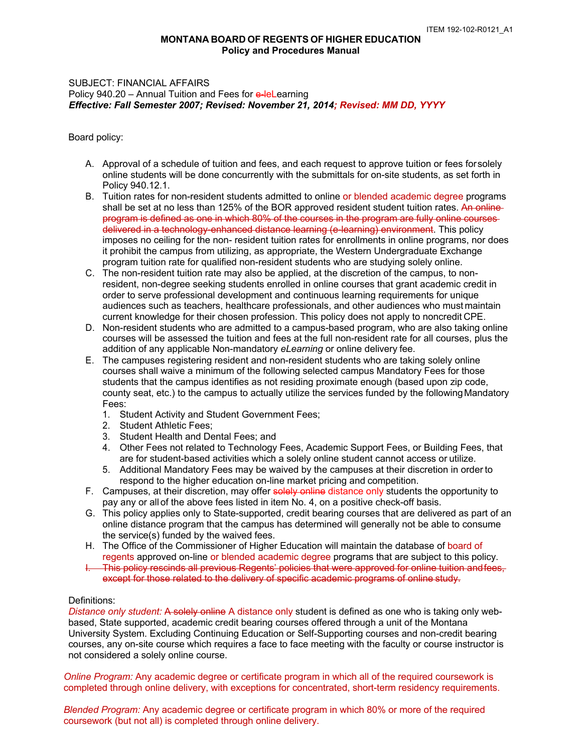# **MONTANA BOARD OF REGENTS OF HIGHER EDUCATION Policy and Procedures Manual**

### Policy 940.20 – Annual Tuition and Fees for e-leLearning  *Effective: Fall Semester 2007; Revised: November 21, 2014; Revised: MM DD, YYYY*  SUBJECT: FINANCIAL AFFAIRS

Board policy:

- A. Approval of a schedule of tuition and fees, and each request to approve tuition or fees forsolely online students will be done concurrently with the submittals for on-site students, as set forth in Policy 940.12.1.
- B. Tuition rates for non-resident students admitted to online or blended academic degree programs shall be set at no less than 125% of the BOR approved resident student tuition rates. An online program is defined as one in which 80% of the courses in the program are fully online courses imposes no ceiling for the non- resident tuition rates for enrollments in online programs, nor does it prohibit the campus from utilizing, as appropriate, the Western Undergraduate Exchange program tuition rate for qualified non-resident students who are studying solely online. delivered in a technology-enhanced distance learning (e-learning) environment. This policy
- resident, non-degree seeking students enrolled in online courses that grant academic credit in audiences such as teachers, healthcare professionals, and other audiences who must maintain current knowledge for their chosen profession. This policy does not apply to noncredit CPE. C. The non-resident tuition rate may also be applied, at the discretion of the campus, to nonorder to serve professional development and continuous learning requirements for unique
- D. Non-resident students who are admitted to a campus-based program, who are also taking online courses will be assessed the tuition and fees at the full non-resident rate for all courses, plus the addition of any applicable Non-mandatory *eLearning* or online delivery fee.
- E. The campuses registering resident and non-resident students who are taking solely online courses shall waive a minimum of the following selected campus Mandatory Fees for those county seat, etc.) to the campus to actually utilize the services funded by the followingMandatory students that the campus identifies as not residing proximate enough (based upon zip code, Fees:
	- 1. Student Activity and Student Government Fees;
	- 2. Student Athletic Fees;
	- 3. Student Health and Dental Fees; and
	- 4. Other Fees not related to Technology Fees, Academic Support Fees, or Building Fees, that are for student-based activities which a solely online student cannot access or utilize.
	- 5. Additional Mandatory Fees may be waived by the campuses at their discretion in order to respond to the higher education on-line market pricing and competition.
- F. Campuses, at their discretion, may offer solely online distance only students the opportunity to pay any or all of the above fees listed in item No. 4, on a positive check-off basis.
- G. This policy applies only to State-supported, credit bearing courses that are delivered as part of an online distance program that the campus has determined will generally not be able to consume the service(s) funded by the waived fees.
- H. The Office of the Commissioner of Higher Education will maintain the database of board of regents approved on-line or blended academic degree programs that are subject to this policy.
- I. This policy rescinds all previous Regents' policies that were approved for online tuition andfees, except for those related to the delivery of specific academic programs of online study.

## Definitions:

Distance only student: A solely online A distance only student is defined as one who is taking only web- based, State supported, academic credit bearing courses offered through a unit of the Montana University System. Excluding Continuing Education or Self-Supporting courses and non-credit bearing courses, any on-site course which requires a face to face meeting with the faculty or course instructor is not considered a solely online course.

 *Online Program:* Any academic degree or certificate program in which all of the required coursework is completed through online delivery, with exceptions for concentrated, short-term residency requirements.

 *Blended Program:* Any academic degree or certificate program in which 80% or more of the required coursework (but not all) is completed through online delivery.